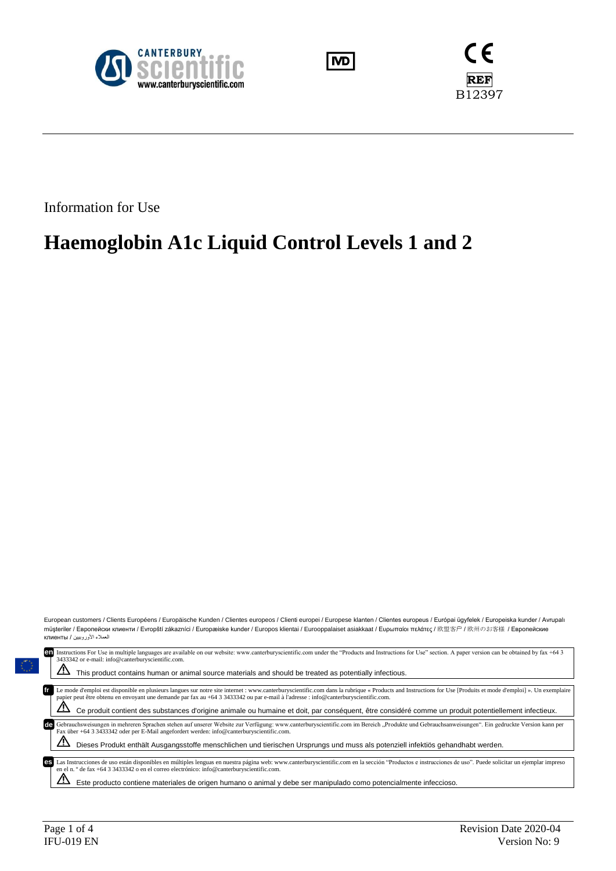





Information for Use

# **Haemoglobin A1c Liquid Control Levels 1 and 2**

European customers / Clients Européens / Europäische Kunden / Clientes europeos / Clienti europei / Europese klanten / Clientes europeus / Európai ügyfelek / Europeiska kunder / Avrupalı müşteriler / Европейски клиенти / Evropští zákazníci / Europæiske kunder / Europos klientai / Eurooppalaiset asiakkaat / Ευρωπαίοι πελάτες / 欧盟客户 / 欧州のお客様 / Европейские العمالء األوروبيين / клиенты

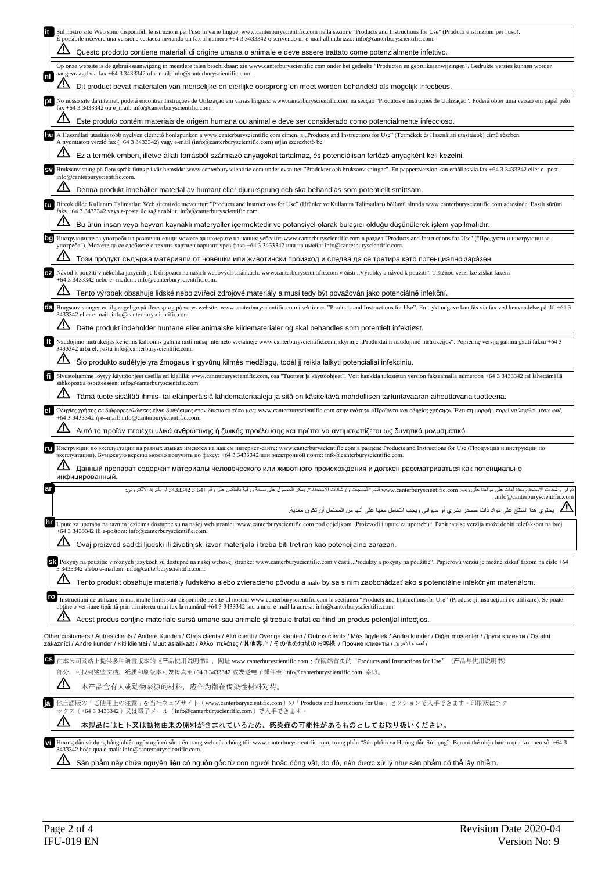|           | Sul nostro sito Web sono disponibili le istruzioni per l'uso in varie lingue: www.canterburyscientific.com nella sezione "Products and Instructions for Use" (Prodotti e istruzioni per l'uso).<br>E possibile ricevere una versione cartacea inviando un fax al numero +64 3 3433342 o scrivendo un'e-mail all'indirizzo: info@canterburyscientific.com.                                                                     |
|-----------|-------------------------------------------------------------------------------------------------------------------------------------------------------------------------------------------------------------------------------------------------------------------------------------------------------------------------------------------------------------------------------------------------------------------------------|
|           | Questo prodotto contiene materiali di origine umana o animale e deve essere trattato come potenzialmente infettivo.                                                                                                                                                                                                                                                                                                           |
|           | Op onze website is de gebruiksaanwijzing in meerdere talen beschikbaar: zie www.canterburyscientific.com onder het gedeelte "Producten en gebruiksaanwijzingen". Gedrukte versies kunnen worden<br>aangevraagd via fax +64 3 3433342 of e-mail: info@canterburyscientific.com.                                                                                                                                                |
|           | Dit product bevat materialen van menselijke en dierlijke oorsprong en moet worden behandeld als mogelijk infectieus.                                                                                                                                                                                                                                                                                                          |
|           | No nosso site da internet, poderá encontrar Instruções de Utilização em várias línguas: www.canterburyscientific.com na secção "Produtos e Instruções de Utilização". Poderá obter uma versão em papel pelo<br>fax +64 3 3433342 ou e_mail: info@canterburyscientific.com.                                                                                                                                                    |
|           | Este produto contém materiais de origem humana ou animal e deve ser considerado como potencialmente infeccioso.                                                                                                                                                                                                                                                                                                               |
|           | A Használati utasítás több nyelven elérhető honlapunkon a www.canterburyscientific.com címen, a "Products and Instructions for Use" (Termékek és Használati utasítások) című részben.<br>A nyomtatott verzió fax (+64 3 3433342) vagy e-mail (info@canterburyscientific.com) útján szerezhető be.                                                                                                                             |
|           | Ez a termék emberi, illetve állati forrásból származó anyagokat tartalmaz, és potenciálisan fertőző anyagként kell kezelni.                                                                                                                                                                                                                                                                                                   |
|           | Bruksanvisning på flera språk finns på vår hemsida: www.canterburyscientific.com under avsnittet "Produkter och bruksanvisningar". En pappersversion kan erhållas via fax +64 3 3433342 eller e--post:<br>info@canterburyscientific.com.                                                                                                                                                                                      |
|           | Denna produkt innehåller material av humant eller djurursprung och ska behandlas som potentiellt smittsam.                                                                                                                                                                                                                                                                                                                    |
|           | Birçok dilde Kullanım Talimatları Web sitemizde mevcuttur: "Products and Instructions for Use" (Urünler ve Kullanım Talimatları) bölümü altında www.canterburyscientific.com adresinde. Basılı sürüm<br>faks +64 3 3433342 veya e-posta ile sağlanabilir: info@canterburyscientific.com.                                                                                                                                      |
|           | Bu ürün insan veya hayvan kaynaklı materyaller içermektedir ve potansiyel olarak bulaşıcı olduğu düşünülerek işlem yapılmalıdır.                                                                                                                                                                                                                                                                                              |
|           | Инструкциите за употреба на различни езици можете да намерите на нашия уебсайт: www.canterburyscientific.com в раздел "Products and Instructions for Use" ("Продукти и инструкции за<br>употреба"). Можете да се сдобиете с техния хартиен вариант чрез факс +64 3 3433342 или на имейл: info@canterburyscientific.com.                                                                                                       |
|           | Този продукт съдържа материали от човешки или животински произход и следва да се третира като потенциално зара̀зен.                                                                                                                                                                                                                                                                                                           |
|           | Návod k použití v několika jazycích je k dispozici na našich webových stránkách: www.canterburyscientific.com v části "Výrobky a návod k použití". Tištěnou verzi lze získat faxem<br>+64 3 3433342 nebo e--mailem: info@canterburyscientific.com.                                                                                                                                                                            |
|           | Tento výrobek obsahuje lidské nebo zvířecí zdrojové materiály a musí tedy být považován jako potenciálně infekční.                                                                                                                                                                                                                                                                                                            |
| da        | Brugsanvisninger er tilgængelige på flere sprog på vores website: www.canterburyscientific.com i sektionen "Products and Instructions for Use". En trykt udgave kan fås via fax ved henvendelse på tlf. +64 3<br>3433342 eller e-mail: info@canterburyscientific.com.                                                                                                                                                         |
|           | Dette produkt indeholder humane eller animalske kildematerialer og skal behandles som potentielt infektiøst.                                                                                                                                                                                                                                                                                                                  |
|           | Naudojimo instrukcijas keliomis kalbomis galima rasti mūsų interneto svetainėje www.canterburyscientific.com, skyriuje "Produktai ir naudojimo instrukcijos". Popierinę versiją galima gauti faksu +64 3<br>3433342 arba el. paštu info@canterburyscientific.com.                                                                                                                                                             |
|           | Šio produkto sudėtyje yra žmogaus ir gyvūnų kilmės medžiagų, todėl jį reikia laikyti potencialiai infekciniu.                                                                                                                                                                                                                                                                                                                 |
|           | Sivustoltamme löytyy käyttöohjeet useilla eri kielillä: www.canterburyscientific.com, osa "Tuotteet ja käyttöohjeet". Voit hankkia tulostetun version faksaamalla numeroon +64 3 3433342 tai lähettämällä<br>sähköpostia osoitteeseen: info@canterburyscientific.com.                                                                                                                                                         |
|           | Tämä tuote sisältää ihmis- tai eläinperäisiä lähdemateriaaleja ja sitä on käsiteltävä mahdollisen tartuntavaaran aiheuttavana tuotteena.                                                                                                                                                                                                                                                                                      |
|           | Οδηγίες χρήσης σε διάφορες γλώσσες είναι διαθέσιμες στον δικτυακό τόπο μας: www.canterburyscientific.com στην ενότητα «Προϊόντα και οδηγίες χρήσης». Έντυπη μορφή μπορεί να ληφθεί μέσω φαξ<br>+64 3 3433342 ή e--mail: info@canterburyscientific.com.                                                                                                                                                                        |
|           | Αυτό το προϊόν περιέχει υλικά ανθρώπινης ή ζωικής προέλευσης και πρέπει να αντιμετωπίζεται ως δυνητικά μολυσματικό.                                                                                                                                                                                                                                                                                                           |
|           | Инструкции по эксплуатации на разных языках имеются на нашем интернет-сайте: www.canterburyscientific.com в разделе Products and Instructions for Use (Продукция и инструкции по<br>эксплуатации). Бумажную версию можно получить по факсу: +64 3 3433342 или электронной почте: info@canterburyscientific.com.                                                                                                               |
|           | Данный препарат содержит материалы человеческого или животного происхождения и должен рассматриваться как потенциально<br>инфицированный.                                                                                                                                                                                                                                                                                     |
|           | +64 3 3433342 أو بالبريد الإلكتر<br>موقعنا على ويب: www.canterburyscientific.com قسم "المنتجات وإرشادات الاستخدام". يمكن الحصول على نسخة ورقية بالفاكس عل<br>تتوفر إرشادات الاستخدام بعدة لغات عا<br>.info@canterburyscientific.com                                                                                                                                                                                           |
|           | <u>11</u> /   يحتوي هذا المنتج على مواد ذات مصدر بشري أو حيواني ويجب التعامل معها على أنها من المحتمل أن تكون معدية <sub>.</sub>                                                                                                                                                                                                                                                                                              |
|           | Upute za uporabu na raznim jezicima dostupne su na našoj web stranici: www.canterburyscientific.com pod odjeljkom "Proizvodi i upute za upotrebu". Papirnata se verzija može dobiti telefaksom na broj<br>+64 3 3433342 ili e-poštom: info@canterburyscientific.com.                                                                                                                                                          |
|           | Ovaj proizvod sadrži ljudski ili životinjski izvor materijala i treba biti tretiran kao potencijalno zarazan.                                                                                                                                                                                                                                                                                                                 |
|           | SA Pokyny na použitie v rôznych jazykoch sú dostupné na našej webovej stránke: www.canterburyscientific.com v časti "Produkty a pokyny na použitie". Papierovú verziu je možné získať faxom na čísle +64                                                                                                                                                                                                                      |
|           | 3 3433342 alebo e-mailom: info@canterburyscientific.com.<br>Tento produkt obsahuje materiály ľudského alebo zvieracieho pôvodu a malo by sa s ním zaobchádzať ako s potenciálne infekčným materiálom.                                                                                                                                                                                                                         |
|           | ro<br>Instrucțiuni de utilizare în mai multe limbi sunt disponibile pe site-ul nostru: www.canterburyscientific.com la secțiunea "Products and Instructions for Use" (Produse și instrucțiuni de utilizare). Se poate                                                                                                                                                                                                         |
|           | obtine o versiune tipărită prin trimiterea unui fax la numărul +64 3 3433342 sau a unui e-mail la adresa: info@canterburyscientific.com.                                                                                                                                                                                                                                                                                      |
|           | Acest produs contine materiale sursă umane sau animale și trebuie tratat ca fiind un produs potențial infecțios.                                                                                                                                                                                                                                                                                                              |
|           | Other customers / Autres clients / Andere Kunden / Otros clients / Altri clienti / Overige klanten / Outros clients / Más ügyfelek / Andra kunder / Diğer müşteriler / Други клиенти / Ostatní<br>zákazníci / Andre kunder / Kiti klientai / Muut asiakkaat / Άλλοι πελάτες / 其他客户 / その他の地域のお客様 / Прочие клиенты / كحملاء الأخرين / Zákazníci / Andre kunder / Kiti klientai / Muut asiakkaat / Άλλοι πελάτες / 其他客户 / その他の地域 |
| <b>CS</b> | 在本公司网站上提供多种语言版本的《产品使用说明书》,网址 www.canterburyscientific.com;在网站首页的"Products and Instructions for Use"(产品与使用说明书)                                                                                                                                                                                                                                                                                                                 |
|           | 部分, 可找到这些文档。纸质印刷版本可发传真至+64 3 3433342 或发送电子邮件至 info@canterburyscientific.com 索取。<br><u>/ \</u><br>本产品含有人或动物来源的材料,应作为潜在传染性材料对待。                                                                                                                                                                                                                                                                                                 |
|           | 他言語版の「ご使用上の注意」を当社ウェブサイト (www.canterburyscientific.com) の「Products and Instructions for Use」セクションで入手できます。印刷版はファ                                                                                                                                                                                                                                                                                                                |
|           | ックス (+643343342) 又は電子メール (info@canterburyscientific.com) で入手できます。<br><u>/ļ\</u>                                                                                                                                                                                                                                                                                                                                               |
|           | 本製品にはヒト又は動物由来の原料が含まれているため、感染症の可能性があるものとしてお取り扱いください。                                                                                                                                                                                                                                                                                                                                                                           |
|           | Hướng dẫn sử dụng bằng nhiều ngôn ngữ có sẵn trên trang web của chúng tôi: www.canterburyscientific.com, trong phần "Sản phẩm và Hướng dẫn Sử dụng". Bạn có thể nhận bản in qua fax theo số: +64 3<br>3433342 hoặc qua e-mail: info@canterburyscientific.com.                                                                                                                                                                 |
|           | <u>/!\</u><br>Sản phẩm này chứa nguyên liệu có nguồn gốc từ con người hoặc động vật, do đó, nên được xử lý như sản phẩm có thể lây nhiễm.                                                                                                                                                                                                                                                                                     |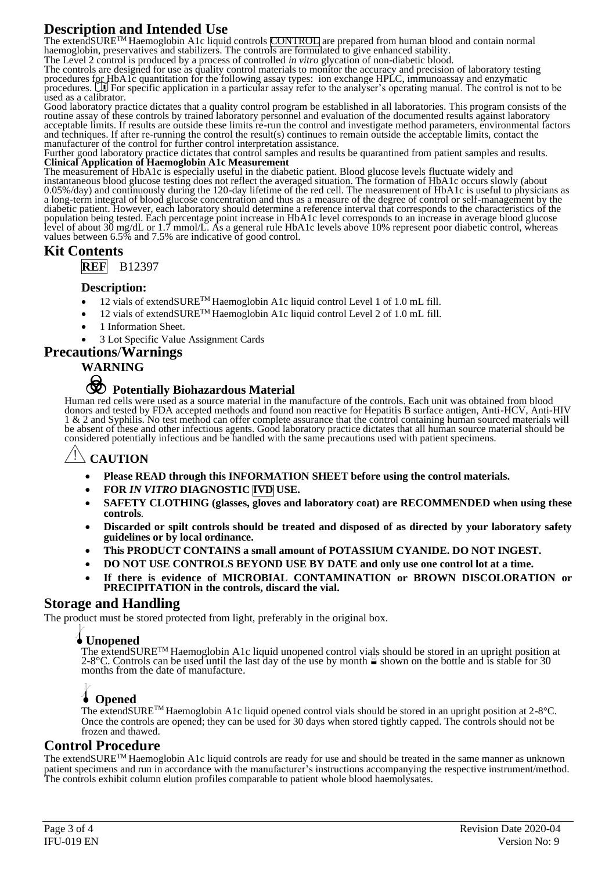## **Description and Intended Use**

The extendSURE<sup>TM</sup> Haemoglobin A1c liquid controls CONTROL are prepared from human blood and contain normal haemoglobin, preservatives and stabilizers. The controls are formulated to give enhanced stability.

The Level 2 control is produced by a process of controlled *in vitro* glycation of non-diabetic blood.

The controls are designed for use as quality control materials to monitor the accuracy and precision of laboratory testing procedures for HbA1c quantitation for the following assay types: ion exchange HPLC, immunoassay and enzymatic<br>procedures. LU For specific application in a particular assay refer to the analyser's operating manual. The cont used as a calibrator.

Good laboratory practice dictates that a quality control program be established in all laboratories. This program consists of the routine assay of these controls by trained laboratory personnel and evaluation of the documented results against laboratory acceptable limits. If results are outside these limits re-run the control and investigate method parameters, environmental factors and techniques. If after re-running the control the result(s) continues to remain outside the acceptable limits, contact the manufacturer of the control for further control interpretation assistance.

Further good laboratory practice dictates that control samples and results be quarantined from patient samples and results. **Clinical Application of Haemoglobin A1c Measurement**

The measurement of HbA1c is especially useful in the diabetic patient. Blood glucose levels fluctuate widely and instantaneous blood glucose testing does not reflect the averaged situation. The formation of HbA1c occurs slowly (about 0.05%/day) and continuously during the 120-day lifetime of the red cell. The measurement of HbA1c is useful to physicians as a long-term integral of blood glucose concentration and thus as a measure of the degree of control or self-management by the diabetic patient. However, each laboratory should determine a reference interval that corresponds to the characteristics of the population being tested. Each percentage point increase in HbA1c level corresponds to an increase in average blood glucose level of about 30 mg/dL or 1.7 mmol/L. As a general rule HbA1c levels above 10% represent poor diabetic control, whereas values between 6.5% and 7.5% are indicative of good control.

## **Kit Contents**

**REF** B12397

### **Description:**

- 12 vials of extendSURETM Haemoglobin A1c liquid control Level 1 of 1.0 mL fill.
- 12 vials of extendSURE<sup>TM</sup> Haemoglobin A1c liquid control Level 2 of 1.0 mL fill.
- 1 Information Sheet.
- 3 Lot Specific Value Assignment Cards

## **Precautions**/**Warnings**

#### **WARNING**

# F **Potentially Biohazardous Material**

Human red cells were used as a source material in the manufacture of the controls. Each unit was obtained from blood donors and tested by FDA accepted methods and found non reactive for Hepatitis B surface antigen, Anti-HCV, Anti-HIV 1 & 2 and Syphilis. No test method can offer complete assurance that the control containing human sourced materials will be absent of these and other infectious agents. Good laboratory practice dictates that all human source material should be considered potentially infectious and be handled with the same precautions used with patient specimens.

## **S** CAUTION

- **Please READ through this INFORMATION SHEET before using the control materials.**
- **FOR** *IN VITRO* **DIAGNOSTIC IVD USE.**
- **SAFETY CLOTHING (glasses, gloves and laboratory coat) are RECOMMENDED when using these controls***.*
- **Discarded or spilt controls should be treated and disposed of as directed by your laboratory safety guidelines or by local ordinance.**
- **This PRODUCT CONTAINS a small amount of POTASSIUM CYANIDE. DO NOT INGEST.**
- **DO NOT USE CONTROLS BEYOND USE BY DATE and only use one control lot at a time.**
- **If there is evidence of MICROBIAL CONTAMINATION or BROWN DISCOLORATION or PRECIPITATION in the controls, discard the vial.**

## **Storage and Handling**

The product must be stored protected from light, preferably in the original box.

## l**Unopened**

The extendSURETM Haemoglobin A1c liquid unopened control vials should be stored in an upright position at 2-8°C. Controls can be used until the last day of the use by month  $\cong$  shown on the bottle and is stable for 30 months from the date of manufacture.

## l **Opened**

The extendSURETM Haemoglobin A1c liquid opened control vials should be stored in an upright position at 2-8°C. Once the controls are opened; they can be used for 30 days when stored tightly capped. The controls should not be frozen and thawed.

## **Control Procedure**

The extendSURETM Haemoglobin A1c liquid controls are ready for use and should be treated in the same manner as unknown patient specimens and run in accordance with the manufacturer's instructions accompanying the respective instrument/method. The controls exhibit column elution profiles comparable to patient whole blood haemolysates.